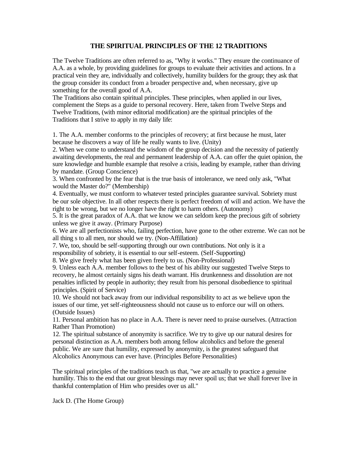## **THE SPIRITUAL PRINCIPLES OF THE 12 TRADITIONS**

The Twelve Traditions are often referred to as, "Why it works." They ensure the continuance of A.A. as a whole, by providing guidelines for groups to evaluate their activities and actions. In a practical vein they are, individually and collectively, humility builders for the group; they ask that the group consider its conduct from a broader perspective and, when necessary, give up something for the overall good of A.A.

The Traditions also contain spiritual principles. These principles, when applied in our lives, complement the Steps as a guide to personal recovery. Here, taken from Twelve Steps and Twelve Traditions, (with minor editorial modification) are the spiritual principles of the Traditions that I strive to apply in my daily life:

1. The A.A. member conforms to the principles of recovery; at first because he must, later because he discovers a way of life he really wants to live. (Unity)

2. When we come to understand the wisdom of the group decision and the necessity of patiently awaiting developments, the real and permanent leadership of A.A. can offer the quiet opinion, the sure knowledge and humble example that resolve a crisis, leading by example, rather than driving by mandate. (Group Conscience)

3. When confronted by the fear that is the true basis of intolerance, we need only ask, "What would the Master do?" (Membership)

4. Eventually, we must conform to whatever tested principles guarantee survival. Sobriety must be our sole objective. In all other respects there is perfect freedom of will and action. We have the right to be wrong, but we no longer have the right to harm others. (Autonomy)

5. It is the great paradox of A.A. that we know we can seldom keep the precious gift of sobriety unless we give it away. (Primary Purpose)

6. We are all perfectionists who, failing perfection, have gone to the other extreme. We can not be all thing s to all men, nor should we try. (Non-Affillation)

7. We, too, should be self-supporting through our own contributions. Not only is it a responsibility of sobriety, it is essential to our self-esteem. (Self-Supporting)

8. We give freely what has been given freely to us. (Non-Professional)

9. Unless each A.A. member follows to the best of his ability our suggested Twelve Steps to recovery, he almost certainly signs his death warrant. His drunkenness and dissolution are not penalties inflicted by people in authority; they result from his personal disobedience to spiritual principles. (Spirit of Service)

10. We should not back away from our individual responsibility to act as we believe upon the issues of our time, yet self-righteousness should not cause us to enforce our will on others. (Outside Issues)

11. Personal ambition has no place in A.A. There is never need to praise ourselves. (Attraction Rather Than Promotion)

12. The spiritual substance of anonymity is sacrifice. We try to give up our natural desires for personal distinction as A.A. members both among fellow alcoholics and before the general public. We are sure that humility, expressed by anonymity, is the greatest safeguard that Alcoholics Anonymous can ever have. (Principles Before Personalities)

The spiritual principles of the traditions teach us that, "we are actually to practice a genuine humility. This to the end that our great blessings may never spoil us; that we shall forever live in thankful contemplation of Him who presides over us all."

Jack D. (The Home Group)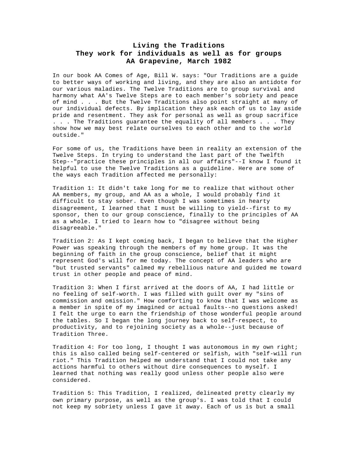## **Living the Traditions They work for individuals as well as for groups AA Grapevine, March 1982**

In our book AA Comes of Age, Bill W. says: "Our Traditions are a guide to better ways of working and living, and they are also an antidote for our various maladies. The Twelve Traditions are to group survival and harmony what AA's Twelve Steps are to each member's sobriety and peace of mind . . . But the Twelve Traditions also point straight at many of our individual defects. By implication they ask each of us to lay aside pride and resentment. They ask for personal as well as group sacrifice . . . The Traditions guarantee the equality of all members . . . They show how we may best relate ourselves to each other and to the world outside."

For some of us, the Traditions have been in reality an extension of the Twelve Steps. In trying to understand the last part of the Twelfth Step--"practice these principles in all our affairs"--I know I found it helpful to use the Twelve Traditions as a guideline. Here are some of the ways each Tradition affected me personally:

Tradition 1: It didn't take long for me to realize that without other AA members, my group, and AA as a whole, I would probably find it difficult to stay sober. Even though I was sometimes in hearty disagreement, I learned that I must be willing to yield--first to my sponsor, then to our group conscience, finally to the principles of AA as a whole. I tried to learn how to "disagree without being disagreeable."

Tradition 2: As I kept coming back, I began to believe that the Higher Power was speaking through the members of my home group. It was the beginning of faith in the group conscience, belief that it might represent God's will for me today. The concept of AA leaders who are "but trusted servants" calmed my rebellious nature and guided me toward trust in other people and peace of mind.

Tradition 3: When I first arrived at the doors of AA, I had little or no feeling of self-worth. I was filled with guilt over my "sins of commission and omission." How comforting to know that I was welcome as a member in spite of my imagined or actual faults--no questions asked! I felt the urge to earn the friendship of those wonderful people around the tables. So I began the long journey back to self-respect, to productivity, and to rejoining society as a whole--just because of Tradition Three.

Tradition 4: For too long, I thought I was autonomous in my own right; this is also called being self-centered or selfish, with "self-will run riot." This Tradition helped me understand that I could not take any actions harmful to others without dire consequences to myself. I learned that nothing was really good unless other people also were considered.

Tradition 5: This Tradition, I realized, delineated pretty clearly my own primary purpose, as well as the group's. I was told that I could not keep my sobriety unless I gave it away. Each of us is but a small